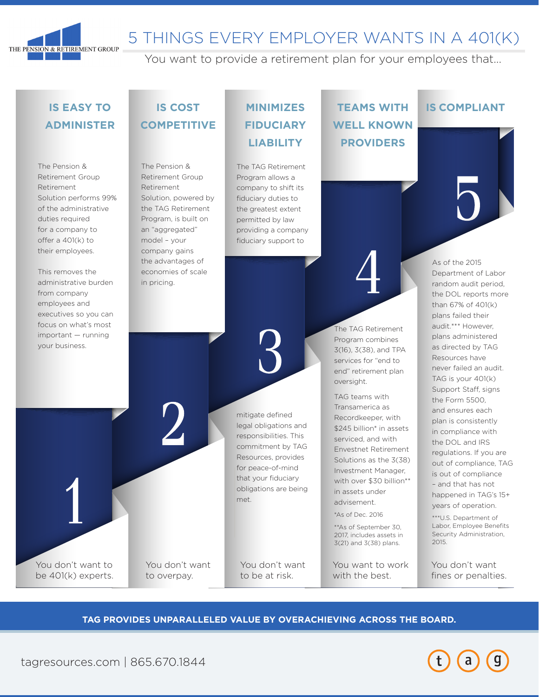

# 5 THINGS EVERY EMPLOYER WANTS IN A 401(K)

You want to provide a retirement plan for your employees that...

## **IS EASY TO ADMINISTER**

The Pension & Retirement Group Retirement Solution performs 99% of the administrative duties required for a company to offer a 401(k) to their employees.

This removes the administrative burden from company employees and executives so you can focus on what's most important — running your business.

You don't want to be 401(k) experts.

# **IS COST COMPETITIVE**

The Pension & Retirement Group Retirement Solution, powered by the TAG Retirement Program, is built on an "aggregated" model – your company gains the advantages of economies of scale in pricing.

You don't want to overpay.

# **MINIMIZES FIDUCIARY LIABILITY**

The TAG Retirement Program allows a company to shift its fiduciary duties to the greatest extent permitted by law providing a company fiduciary support to

**TEAMS WITH WELL KNOWN PROVIDERS**

The TAG Retirement Program combines 3(16), 3(38), and TPA services for "end to end" retirement plan

oversight.

TAG teams with Transamerica as Recordkeeper, with \$245 billion\* in assets serviced, and with Envestnet Retirement Solutions as the 3(38) Investment Manager, with over \$30 billion\*\* in assets under advisement. \*As of Dec. 2016 \*\*As of September 30, 2017, includes assets in 3(21) and 3(38) plans.

You want to work with the best.

### **IS COMPLIANT**

As of the 2015 Department of Labor random audit period, the DOL reports more than 67% of 401(k) plans failed their audit.\*\*\* However, plans administered as directed by TAG Resources have never failed an audit. TAG is your 401(k) Support Staff, signs the Form 5500, and ensures each plan is consistently in compliance with the DOL and IRS regulations. If you are out of compliance, TAG is out of compliance – and that has not happened in TAG's 15+ years of operation. \*\*\*U.S. Department of

Labor, Employee Benefits Security Administration, 2015.

You don't want fines or penalties.

#### **TAG PROVIDES UNPARALLELED VALUE BY OVERACHIEVING ACROSS THE BOARD.**

You don't want to be at risk.

mitigate defined legal obligations and responsibilities. This commitment by TAG Resources, provides for peace-of-mind that your fiduciary obligations are being

met.



tagresources.com | 865.670.1844